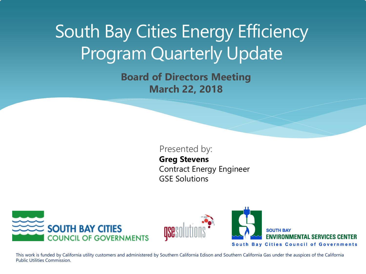# South Bay Cities Energy Efficiency Program Quarterly Update

**Board of Directors Meeting March 22, 2018**

#### Presented by:

**Greg Stevens** Contract Energy Engineer GSE Solutions





**SOUTH BAY ENVIRONMENTAL SERVICES CENTER South Bay Cities Council of Governments** 

This work is funded by California utility customers and administered by Southern California Edison and Southern California Gas under the auspices of the California Public Utilities Commission.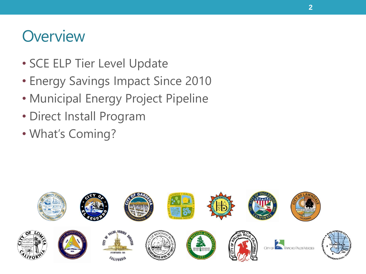#### **Overview**

- SCE ELP Tier Level Update
- Energy Savings Impact Since 2010
- Municipal Energy Project Pipeline
- Direct Install Program
- What's Coming?

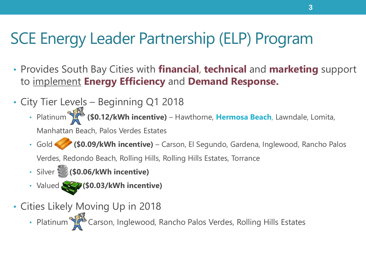#### SCE Energy Leader Partnership (ELP) Program

- Provides South Bay Cities with **financial**, **technical** and **marketing** support to implement **Energy Efficiency** and **Demand Response.**
- City Tier Levels Beginning Q1 2018
	- Platinu[m](http://www.google.com/url?sa=i&rct=j&q=platinum+trophy&source=images&cd=&cad=rja&docid=sZdq8PTxrLeCIM&tbnid=tAWhDNqsVsaYYM:&ved=0CAUQjRw&url=http://fallout.wikia.com/wiki/Platinum_Trophy&ei=8ifwUZn7NoGTiAKl5oDoDA&bvm=bv.49784469,d.cGE&psig=AFQjCNEqwKHP0vOwBkw1fiEMkDwqXrgfCA&ust=1374779723200667) **(\$0.12/kWh incentive)**  Hawthorne, **Hermosa Beach**, Lawndale, Lomita, Manhattan Beach, Palos Verdes Estates
	- Gold **(\$0.09/kWh incentive)** Carson, El Segundo, Gardena, Inglewood, Rancho Palos

Verdes, Redondo Beach, Rolling Hills, Rolling Hills Estates, Torrance

- Silver**(\$0.06/kWh incentive)**
- Valued **(\$0.03/kWh incentive)**
- Cities Likely Moving Up in 2018
	- Platinu[m C](http://www.google.com/url?sa=i&rct=j&q=platinum+trophy&source=images&cd=&cad=rja&docid=sZdq8PTxrLeCIM&tbnid=tAWhDNqsVsaYYM:&ved=0CAUQjRw&url=http://fallout.wikia.com/wiki/Platinum_Trophy&ei=8ifwUZn7NoGTiAKl5oDoDA&bvm=bv.49784469,d.cGE&psig=AFQjCNEqwKHP0vOwBkw1fiEMkDwqXrgfCA&ust=1374779723200667)arson, Inglewood, Rancho Palos Verdes, Rolling Hills Estates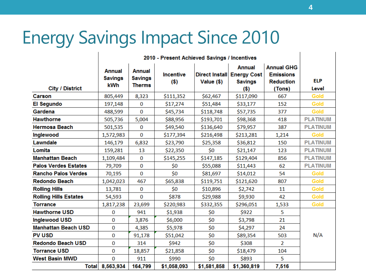## Energy Savings Impact Since 2010

|                              | 2010 - Present Achieved Savings / Incentives |                                                  |                             |              |                                                                          |                                                                     |                     |  |
|------------------------------|----------------------------------------------|--------------------------------------------------|-----------------------------|--------------|--------------------------------------------------------------------------|---------------------------------------------------------------------|---------------------|--|
| <b>City / District</b>       | <b>Annual</b><br><b>Savings</b><br>kWh       | <b>Annual</b><br><b>Savings</b><br><b>Therms</b> | <b>Incentive</b><br>$($ \$) | Value $(\$)$ | <b>Annual</b><br>Direct Install Energy Cost<br><b>Savings</b><br>$($ \$) | <b>Annual GHG</b><br><b>Emissions</b><br><b>Reduction</b><br>(Tons) | <b>ELP</b><br>Level |  |
| Carson                       | 805,449                                      | 8,323                                            | \$111,352                   | \$62,467     | \$117,090                                                                | 667                                                                 | Gold                |  |
| El Segundo                   | 197,148                                      | 0                                                | \$17,274                    | \$51,484     | \$33,177                                                                 | 152                                                                 | <b>Gold</b>         |  |
| Gardena                      | 488,599                                      | $\bf{0}$                                         | \$45,734                    | \$118,748    | \$57,735                                                                 | 377                                                                 | Gold                |  |
| <b>Hawthorne</b>             | 505,736                                      | 5,004                                            | \$88,956                    | \$193,701    | \$98,368                                                                 | 418                                                                 | <b>PLATINUM</b>     |  |
| <b>Hermosa Beach</b>         | 501,535                                      | 0                                                | \$49,540                    | \$136,640    | \$79,957                                                                 | 387                                                                 | <b>PLATINUM</b>     |  |
| Inglewood                    | 1,572,983                                    | $\mathbf 0$                                      | \$177,394                   | \$216,498    | \$213,281                                                                | 1,214                                                               | Gold                |  |
| Lawndale                     | 146,179                                      | 6,832                                            | \$23,790                    | \$25,358     | \$36,812                                                                 | 150                                                                 | <b>PLATINUM</b>     |  |
| Lomita                       | 159,281                                      | 13                                               | \$22,350                    | \$0          | \$21,147                                                                 | 123                                                                 | <b>PLATINUM</b>     |  |
| <b>Manhattan Beach</b>       | 1,109,484                                    | 0                                                | \$145,255                   | \$147,185    | \$129,404                                                                | 856                                                                 | <b>PLATINUM</b>     |  |
| <b>Palos Verdes Estates</b>  | 79,709                                       | 0                                                | \$0                         | \$55,088     | \$11,443                                                                 | 62                                                                  | <b>PLATINUM</b>     |  |
| <b>Rancho Palos Verdes</b>   | 70,195                                       | $\bf{0}$                                         | \$0                         | \$81,697     | \$14,012                                                                 | 54                                                                  | Gold                |  |
| <b>Redondo Beach</b>         | 1,042,023                                    | 467                                              | \$65,838                    | \$119,751    | \$121,620                                                                | 807                                                                 | Gold                |  |
| <b>Rolling Hills</b>         | 13,781                                       | 0                                                | \$0                         | \$10,896     | \$2,742                                                                  | 11                                                                  | Gold                |  |
| <b>Rolling Hills Estates</b> | 54,593                                       | 0                                                | \$878                       | \$29,988     | \$9,930                                                                  | 42                                                                  | Gold                |  |
| <b>Torrance</b>              | 1,817,238                                    | 23,699                                           | \$220,983                   | \$332,355    | \$296,051                                                                | 1,533                                                               | Gold                |  |
| <b>Hawthorne USD</b>         | 0                                            | 941                                              | \$1,938                     | \$0          | \$922                                                                    | 5                                                                   |                     |  |
| <b>Inglewood USD</b>         | 0                                            | 3,876                                            | \$6,000                     | \$0\$        | \$3,798                                                                  | 21                                                                  |                     |  |
| <b>Manhattan Beach USD</b>   | 0                                            | 4,385                                            | \$5,978                     | \$0          | \$4,297                                                                  | 24                                                                  |                     |  |
| <b>PV USD</b>                | 0                                            | 91,178                                           | \$51,042                    | \$0          | \$89,354                                                                 | 503                                                                 | N/A                 |  |
| <b>Redondo Beach USD</b>     | 0                                            | 314                                              | \$942                       | \$0          | \$308                                                                    | $\overline{2}$                                                      |                     |  |
| <b>Torrance USD</b>          | 0                                            | 18,857                                           | \$21,858                    | \$0          | \$18,479                                                                 | 104                                                                 |                     |  |
| <b>West Basin MWD</b>        | 0                                            | 911                                              | \$990                       | \$0          | \$893                                                                    | 5                                                                   |                     |  |
| <b>Total</b>                 | 8,563,934                                    | 164,799                                          | \$1,058,093                 | \$1,581,858  | \$1,360,819                                                              | 7,516                                                               |                     |  |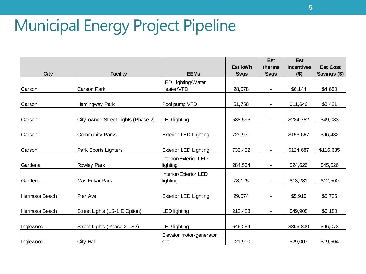## Municipal Energy Project Pipeline

|               |                                    |                              |                | <b>Est</b>  | <b>Est</b>        |                 |
|---------------|------------------------------------|------------------------------|----------------|-------------|-------------------|-----------------|
|               |                                    |                              | <b>Est kWh</b> | therms      | <b>Incentives</b> | <b>Est Cost</b> |
| <b>City</b>   | <b>Facility</b>                    | <b>EEMs</b>                  | <b>Svgs</b>    | <b>Svgs</b> | $($ \$)           | Savings (\$)    |
|               |                                    | LED Lighting/Water           |                |             |                   |                 |
| Carson        | Carson Park                        | Heater/VFD                   | 28,578         |             | \$6,144           | \$4,650         |
|               |                                    |                              |                |             |                   |                 |
| Carson        | Hemingway Park                     | Pool pump VFD                | 51,758         |             | \$11,646          | \$8,421         |
|               |                                    |                              |                |             |                   |                 |
| Carson        | City-owned Street Lights (Phase 2) | LED lighting                 | 588,596        |             | \$234,752         | \$49,083        |
|               |                                    |                              |                |             |                   |                 |
| Carson        | <b>Community Parks</b>             | <b>Exterior LED Lighting</b> | 729,931        |             | \$156,667         | \$96,432        |
|               |                                    |                              |                |             |                   |                 |
| Carson        | Park Sports Lighters               | <b>Exterior LED Lighting</b> | 733,452        |             | \$124,687         | \$116,685       |
|               |                                    | Interior/Exterior LED        |                |             |                   |                 |
| Gardena       | <b>Rowley Park</b>                 | lighting                     | 284,534        |             | \$24,626          | \$45,526        |
|               |                                    | Interior/Exterior LED        |                |             |                   |                 |
| Gardena       | Mas Fukai Park                     | lighting                     | 78,125         | ä,          | \$13,281          | \$12,500        |
|               |                                    |                              |                |             |                   |                 |
| Hermosa Beach | Pier Ave                           | <b>Exterior LED Lighting</b> | 29,574         | ۰           | \$5,915           | \$5,725         |
|               |                                    |                              |                |             |                   |                 |
| Hermosa Beach | Street Lights (LS-1 E Option)      | LED lighting                 | 212,423        | ۰           | \$49,908          | \$6,180         |
|               |                                    |                              |                |             |                   |                 |
| Inglewood     | Street Lights (Phase 2-LS2)        | <b>LED lighting</b>          | 646,254        | ۰           | \$396,830         | \$96,073        |
|               |                                    | Elevator motor-generator     |                |             |                   |                 |
| Inglewood     | City Hall                          | set                          | 121,900        | ä,          | \$29,007          | \$19,504        |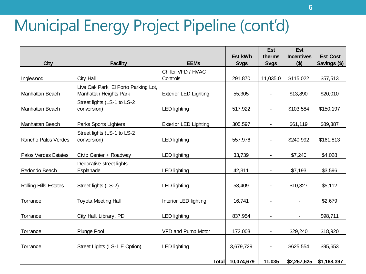## Municipal Energy Project Pipeline (cont'd)

|                              |                                      |                              |                  | <b>Est</b>     | <b>Est</b>        |                 |
|------------------------------|--------------------------------------|------------------------------|------------------|----------------|-------------------|-----------------|
|                              |                                      |                              | Est kWh          | therms         | <b>Incentives</b> | <b>Est Cost</b> |
| <b>City</b>                  | <b>Facility</b>                      | <b>EEMs</b>                  | <b>Svgs</b>      | <b>Svgs</b>    | $($ \$)           | Savings (\$)    |
|                              |                                      | Chiller VFD / HVAC           |                  |                |                   |                 |
| Inglewood                    | City Hall                            | Controls                     | 291,870          | 11,035.0       | \$115,022         | \$57,513        |
|                              | Live Oak Park, El Porto Parking Lot, |                              |                  |                |                   |                 |
| Manhattan Beach              | Manhattan Heights Park               | <b>Exterior LED Lighting</b> | 55,305           |                | \$13,890          | \$20,010        |
|                              | Street lights (LS-1 to LS-2          |                              |                  |                |                   |                 |
| Manhattan Beach              | conversion)                          | <b>LED lighting</b>          | 517,922          | ä,             | \$103,584         | \$150,197       |
|                              |                                      |                              |                  |                |                   |                 |
| Manhattan Beach              | Parks Sports Lighters                | <b>Exterior LED Lighting</b> | 305,597          | $\blacksquare$ | \$61,119          | \$89,387        |
|                              | Street lights (LS-1 to LS-2          |                              |                  |                |                   |                 |
| Rancho Palos Verdes          | conversion)                          | <b>LED lighting</b>          | 557,976          |                | \$240,992         | \$161,813       |
|                              |                                      |                              |                  |                |                   |                 |
| Palos Verdes Estates         | Civic Center + Roadway               | <b>LED lighting</b>          | 33,739           | $\blacksquare$ | \$7,240           | \$4,028         |
|                              | Decorative street lights             |                              |                  |                |                   |                 |
| Redondo Beach                | Esplanade                            | <b>LED lighting</b>          | 42,311           | $\blacksquare$ | \$7,193           | \$3,596         |
|                              |                                      |                              |                  |                |                   |                 |
| <b>Rolling Hills Estates</b> | Street lights (LS-2)                 | <b>LED lighting</b>          | 58,409           |                | \$10,327          | \$5,112         |
|                              |                                      |                              |                  |                |                   |                 |
| Torrance                     | Toyota Meeting Hall                  | Interior LED lighting        | 16,741           |                |                   | \$2,679         |
|                              |                                      |                              |                  |                |                   |                 |
| Torrance                     | City Hall, Library, PD               | <b>LED lighting</b>          | 837,954          |                |                   | \$98,711        |
|                              |                                      |                              |                  |                |                   |                 |
| Torrance                     | Plunge Pool                          | VFD and Pump Motor           | 172,003          | $\blacksquare$ | \$29,240          | \$18,920        |
|                              |                                      |                              |                  |                |                   |                 |
| Torrance                     | Street Lights (LS-1 E Option)        | <b>LED lighting</b>          | 3,679,729        | $\blacksquare$ | \$625,554         | \$95,653        |
|                              |                                      |                              |                  |                |                   |                 |
|                              |                                      |                              | Total 10,074,679 | 11,035         | \$2,267,625       | \$1,168,397     |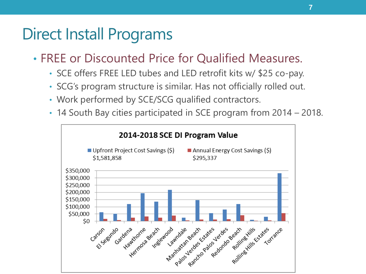#### Direct Install Programs

- FREE or Discounted Price for Qualified Measures.
	- SCE offers FREE LED tubes and LED retrofit kits w/ \$25 co-pay.
	- SCG's program structure is similar. Has not officially rolled out.
	- Work performed by SCE/SCG qualified contractors.
	- 14 South Bay cities participated in SCE program from 2014 2018.

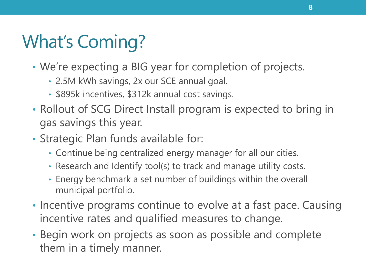# What's Coming?

- We're expecting a BIG year for completion of projects.
	- 2.5M kWh savings, 2x our SCE annual goal.
	- \$895k incentives, \$312k annual cost savings.
- Rollout of SCG Direct Install program is expected to bring in gas savings this year.
- Strategic Plan funds available for:
	- Continue being centralized energy manager for all our cities.
	- Research and Identify tool(s) to track and manage utility costs.
	- Energy benchmark a set number of buildings within the overall municipal portfolio.
- Incentive programs continue to evolve at a fast pace. Causing incentive rates and qualified measures to change.
- Begin work on projects as soon as possible and complete them in a timely manner.